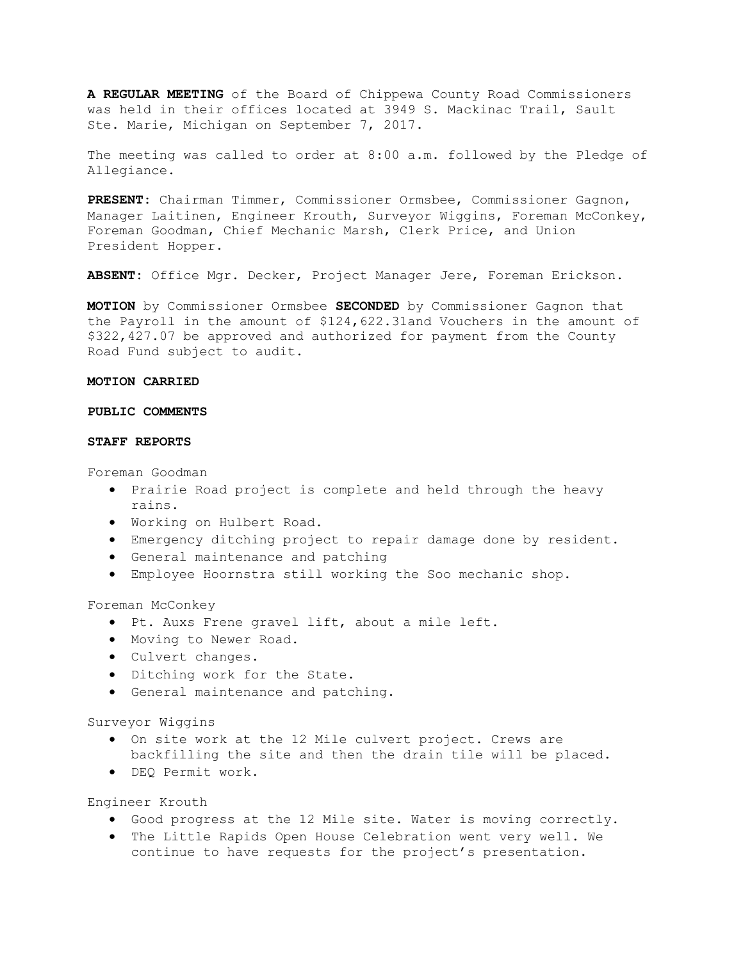**A REGULAR MEETING** of the Board of Chippewa County Road Commissioners was held in their offices located at 3949 S. Mackinac Trail, Sault Ste. Marie, Michigan on September 7, 2017.

The meeting was called to order at 8:00 a.m. followed by the Pledge of Allegiance.

**PRESENT:** Chairman Timmer, Commissioner Ormsbee, Commissioner Gagnon, Manager Laitinen, Engineer Krouth, Surveyor Wiggins, Foreman McConkey, Foreman Goodman, Chief Mechanic Marsh, Clerk Price, and Union President Hopper.

**ABSENT:** Office Mgr. Decker, Project Manager Jere, Foreman Erickson.

**MOTION** by Commissioner Ormsbee **SECONDED** by Commissioner Gagnon that the Payroll in the amount of \$124,622.31and Vouchers in the amount of \$322,427.07 be approved and authorized for payment from the County Road Fund subject to audit.

## **MOTION CARRIED**

# **PUBLIC COMMENTS**

## **STAFF REPORTS**

Foreman Goodman

- Prairie Road project is complete and held through the heavy rains.
- Working on Hulbert Road.
- Emergency ditching project to repair damage done by resident.
- General maintenance and patching
- Employee Hoornstra still working the Soo mechanic shop.

Foreman McConkey

- Pt. Auxs Frene gravel lift, about a mile left.
- Moving to Newer Road.
- Culvert changes.
- Ditching work for the State.
- General maintenance and patching.

Surveyor Wiggins

- On site work at the 12 Mile culvert project. Crews are
- backfilling the site and then the drain tile will be placed.
- DEQ Permit work.

Engineer Krouth

- Good progress at the 12 Mile site. Water is moving correctly.
- The Little Rapids Open House Celebration went very well. We continue to have requests for the project's presentation.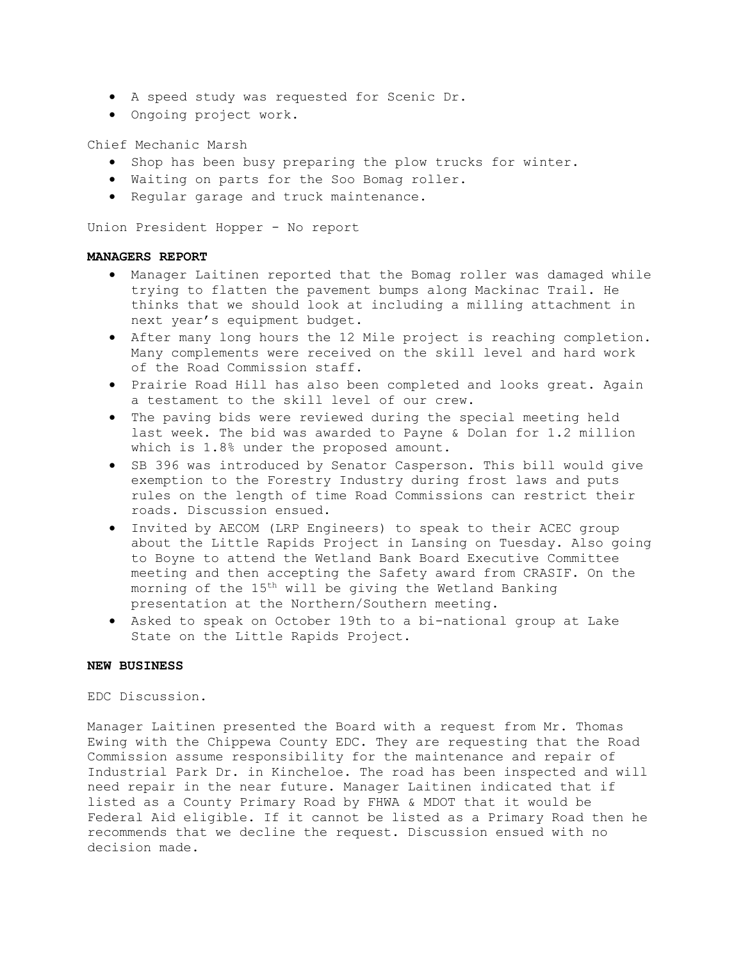- A speed study was requested for Scenic Dr.
- Ongoing project work.

Chief Mechanic Marsh

- Shop has been busy preparing the plow trucks for winter.
- Waiting on parts for the Soo Bomag roller.
- Regular garage and truck maintenance.

Union President Hopper - No report

# **MANAGERS REPORT**

- Manager Laitinen reported that the Bomag roller was damaged while trying to flatten the pavement bumps along Mackinac Trail. He thinks that we should look at including a milling attachment in next year's equipment budget.
- After many long hours the 12 Mile project is reaching completion. Many complements were received on the skill level and hard work of the Road Commission staff.
- Prairie Road Hill has also been completed and looks great. Again a testament to the skill level of our crew.
- The paving bids were reviewed during the special meeting held last week. The bid was awarded to Payne & Dolan for 1.2 million which is 1.8% under the proposed amount.
- SB 396 was introduced by Senator Casperson. This bill would give exemption to the Forestry Industry during frost laws and puts rules on the length of time Road Commissions can restrict their roads. Discussion ensued.
- Invited by AECOM (LRP Engineers) to speak to their ACEC group about the Little Rapids Project in Lansing on Tuesday. Also going to Boyne to attend the Wetland Bank Board Executive Committee meeting and then accepting the Safety award from CRASIF. On the morning of the 15th will be giving the Wetland Banking presentation at the Northern/Southern meeting.
- Asked to speak on October 19th to a bi-national group at Lake State on the Little Rapids Project.

## **NEW BUSINESS**

EDC Discussion.

Manager Laitinen presented the Board with a request from Mr. Thomas Ewing with the Chippewa County EDC. They are requesting that the Road Commission assume responsibility for the maintenance and repair of Industrial Park Dr. in Kincheloe. The road has been inspected and will need repair in the near future. Manager Laitinen indicated that if listed as a County Primary Road by FHWA & MDOT that it would be Federal Aid eligible. If it cannot be listed as a Primary Road then he recommends that we decline the request. Discussion ensued with no decision made.